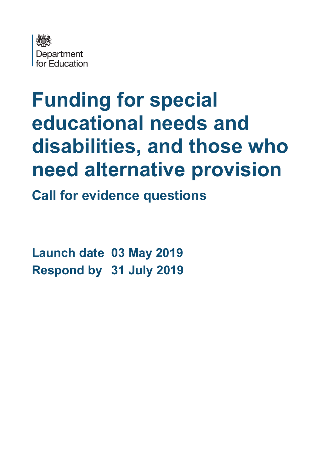

# **Funding for special educational needs and disabilities, and those who need alternative provision**

**Call for evidence questions**

**Launch date 03 May 2019 Respond by 31 July 2019**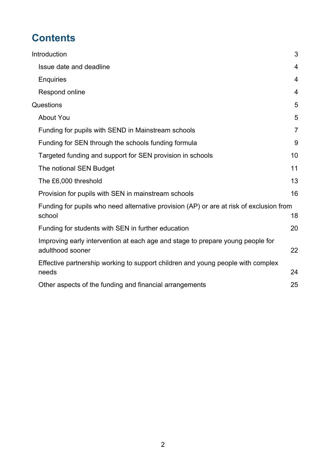# **Contents**

| Introduction                                                                                       | 3              |
|----------------------------------------------------------------------------------------------------|----------------|
| Issue date and deadline                                                                            | 4              |
| <b>Enquiries</b>                                                                                   | $\overline{4}$ |
| Respond online                                                                                     | $\overline{4}$ |
| Questions                                                                                          | 5              |
| <b>About You</b>                                                                                   | 5              |
| Funding for pupils with SEND in Mainstream schools                                                 | $\overline{7}$ |
| Funding for SEN through the schools funding formula                                                | 9              |
| Targeted funding and support for SEN provision in schools                                          | 10             |
| The notional SEN Budget                                                                            | 11             |
| The £6,000 threshold                                                                               | 13             |
| Provision for pupils with SEN in mainstream schools                                                | 16             |
| Funding for pupils who need alternative provision (AP) or are at risk of exclusion from<br>school  | 18             |
| Funding for students with SEN in further education                                                 | 20             |
| Improving early intervention at each age and stage to prepare young people for<br>adulthood sooner | 22             |
| Effective partnership working to support children and young people with complex<br>needs           | 24             |
| Other aspects of the funding and financial arrangements                                            | 25             |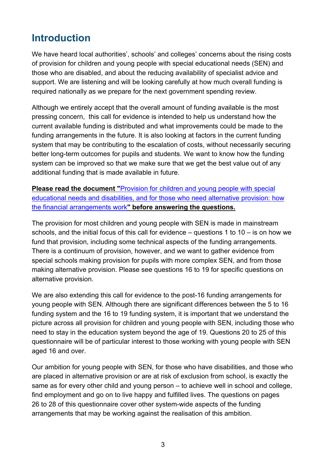# <span id="page-2-0"></span>**Introduction**

We have heard local authorities', schools' and colleges' concerns about the rising costs of provision for children and young people with special educational needs (SEN) and those who are disabled, and about the reducing availability of specialist advice and support. We are listening and will be looking carefully at how much overall funding is required nationally as we prepare for the next government spending review.

Although we entirely accept that the overall amount of funding available is the most pressing concern, this call for evidence is intended to help us understand how the current available funding is distributed and what improvements could be made to the funding arrangements in the future. It is also looking at factors in the current funding system that may be contributing to the escalation of costs, without necessarily securing better long-term outcomes for pupils and students. We want to know how the funding system can be improved so that we make sure that we get the best value out of any additional funding that is made available in future.

**Please read the document "**[Provision](https://consult.education.gov.uk/funding-policy-unit/funding-for-send-and-those-who-need-ap-call-for-ev/supporting_documents/Call%20for%20evidence%20on%20SENDAP%20Funding.pdf) for children and young people with special [educational](https://consult.education.gov.uk/funding-policy-unit/funding-for-send-and-those-who-need-ap-call-for-ev/supporting_documents/Call%20for%20evidence%20on%20SENDAP%20Funding.pdf) needs and disabilities, and for those who need alternative provision: how the financial [arrangements](https://consult.education.gov.uk/funding-policy-unit/funding-for-send-and-those-who-need-ap-call-for-ev/supporting_documents/Call%20for%20evidence%20on%20SENDAP%20Funding.pdf) work**" before answering the questions.**

The provision for most children and young people with SEN is made in mainstream schools, and the initial focus of this call for evidence – questions 1 to 10 – is on how we fund that provision, including some technical aspects of the funding arrangements. There is a continuum of provision, however, and we want to gather evidence from special schools making provision for pupils with more complex SEN, and from those making alternative provision. Please see questions 16 to 19 for specific questions on alternative provision.

We are also extending this call for evidence to the post-16 funding arrangements for young people with SEN. Although there are significant differences between the 5 to 16 funding system and the 16 to 19 funding system, it is important that we understand the picture across all provision for children and young people with SEN, including those who need to stay in the education system beyond the age of 19. Questions 20 to 25 of this questionnaire will be of particular interest to those working with young people with SEN aged 16 and over.

Our ambition for young people with SEN, for those who have disabilities, and those who are placed in alternative provision or are at risk of exclusion from school, is exactly the same as for every other child and young person – to achieve well in school and college, find employment and go on to live happy and fulfilled lives. The questions on pages 26 to 28 of this questionnaire cover other system-wide aspects of the funding arrangements that may be working against the realisation of this ambition.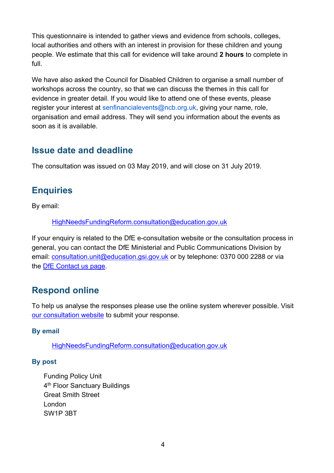This questionnaire is intended to gather views and evidence from schools, colleges, local authorities and others with an interest in provision for these children and young people. We estimate that this call for evidence will take around **2 hours** to complete in full.

We have also asked the Council for Disabled Children to organise a small number of workshops across the country, so that we can discuss the themes in this call for evidence in greater detail. If you would like to attend one of these events, please register your interest at [senfinancialevents@ncb.org.uk,](mailto:senfinancialevents@ncb.org.uk) giving your name, role, organisation and email address. They will send you information about the events as soon as it is available.

## <span id="page-3-0"></span>**Issue date and deadline**

The consultation was issued on 03 May 2019, and will close on 31 July 2019.

# <span id="page-3-1"></span>**Enquiries**

By email:

HighNeedsFundingReform.consultation@education.gov.uk

If your enquiry is related to the DfE e-consultation website or the consultation process in general, you can contact the DfE Ministerial and Public Communications Division by email: [consultation.unit@education.gsi.gov.uk](mailto:consultation.unit@education.gsi.gov.uk) or by telephone: 0370 000 2288 or via the DfE [Contact](https://www.education.gov.uk/help/contactus) us page.

# <span id="page-3-2"></span>**Respond online**

To help us analyse the responses please use the online system wherever possible. Visit our [consultation](https://consult.education.gov.uk/funding-policy-unit/funding-for-send-and-those-who-need-ap-call-for-ev/supporting_documents/Call%20for%20evidence%20on%20SENDAP%20Funding.pdf) website to submit your response.

## **By email**

HighNeedsFundingReform.consultation@education.gov.uk

## **By post**

Funding Policy Unit 4<sup>th</sup> Floor Sanctuary Buildings Great Smith Street London SW1P 3BT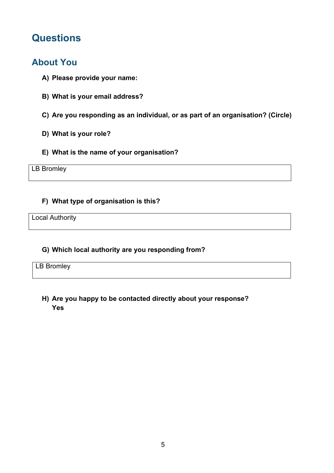# <span id="page-4-0"></span>**Questions**

## <span id="page-4-1"></span>**About You**

- **A) Please provide your name:**
- **B) What is your email address?**
- **C) Are you responding as an individual, or as part of an organisation? (Circle)**
- **D) What is your role?**
- **E) What is the name of your organisation?**

LB Bromley

#### **F) What type of organisation is this?**

Local Authority

#### **G) Which local authority are you responding from?**

LB Bromley

**H) Are you happy to be contacted directly about your response? Yes**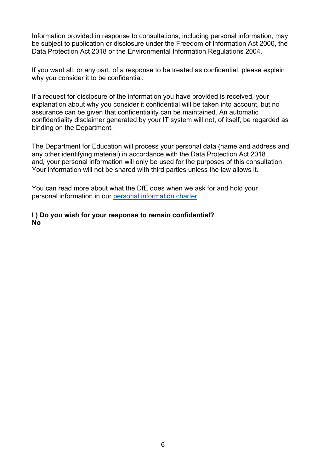Information provided in response to consultations, including personal information, may be subject to publication or disclosure under the Freedom of Information Act 2000, the Data Protection Act 2018 or the Environmental Information Regulations 2004.

If you want all, or any part, of a response to be treated as confidential, please explain why you consider it to be confidential.

If a request for disclosure of the information you have provided is received, your explanation about why you consider it confidential will be taken into account, but no assurance can be given that confidentiality can be maintained. An automatic confidentiality disclaimer generated by your IT system will not, of itself, be regarded as binding on the Department.

The Department for Education will process your personal data (name and address and any other identifying material) in accordance with the Data Protection Act 2018 and*,* your personal information will only be used for the purposes of this consultation. Your information will not be shared with third parties unless the law allows it.

You can read more about what the DfE does when we ask for and hold your personal information in our personal [information](https://www.gov.uk/government/organisations/department-for-education/about/personal-information-charter) charter.

#### **I ) Do you wish for your response to remain confidential? No**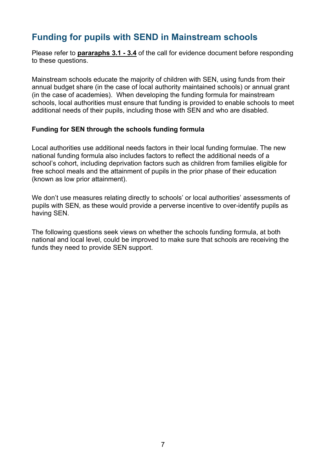## <span id="page-6-0"></span>**Funding for pupils with SEND in Mainstream schools**

Please refer to **pararaphs 3.1 - 3.4** of the call for evidence document before responding to these questions.

Mainstream schools educate the majority of children with SEN, using funds from their annual budget share (in the case of local authority maintained schools) or annual grant (in the case of academies). When developing the funding formula for mainstream schools, local authorities must ensure that funding is provided to enable schools to meet additional needs of their pupils, including those with SEN and who are disabled.

#### **Funding for SEN through the schools funding formula**

Local authorities use additional needs factors in their local funding formulae. The new national funding formula also includes factors to reflect the additional needs of a school's cohort, including deprivation factors such as children from families eligible for free school meals and the attainment of pupils in the prior phase of their education (known as low prior attainment).

We don't use measures relating directly to schools' or local authorities' assessments of pupils with SEN, as these would provide a perverse incentive to over-identify pupils as having SEN.

The following questions seek views on whether the schools funding formula, at both national and local level, could be improved to make sure that schools are receiving the funds they need to provide SEN support.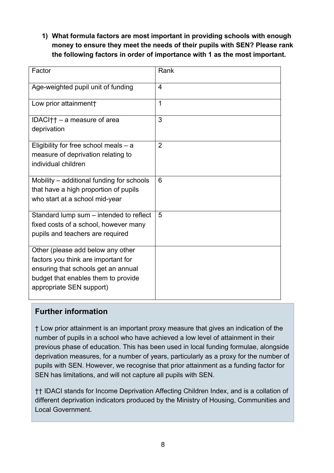**1) What formula factors are most important in providing schools with enough money to ensure they meet the needs of their pupils with SEN? Please rank the following factors in order of importance with 1 as the most important.**

| Factor                                                                                                                                                                             | Rank           |
|------------------------------------------------------------------------------------------------------------------------------------------------------------------------------------|----------------|
| Age-weighted pupil unit of funding                                                                                                                                                 | $\overline{4}$ |
| Low prior attainment†                                                                                                                                                              | 1              |
| IDACI† $\dagger$ – a measure of area<br>deprivation                                                                                                                                | 3              |
| Eligibility for free school meals $- a$<br>measure of deprivation relating to<br>individual children                                                                               | $\overline{2}$ |
| Mobility – additional funding for schools<br>that have a high proportion of pupils<br>who start at a school mid-year                                                               | 6              |
| Standard lump sum – intended to reflect<br>fixed costs of a school, however many<br>pupils and teachers are required                                                               | 5              |
| Other (please add below any other<br>factors you think are important for<br>ensuring that schools get an annual<br>budget that enables them to provide<br>appropriate SEN support) |                |

## **Further information**

† Low prior attainment is an important proxy measure that gives an indication of the number of pupils in a school who have achieved a low level of attainment in their previous phase of education. This has been used in local funding formulae, alongside deprivation measures, for a number of years, particularly as a proxy for the number of pupils with SEN. However, we recognise that prior attainment as a funding factor for SEN has limitations, and will not capture all pupils with SEN.

†† IDACI stands for Income Deprivation Affecting Children Index, and is a collation of different deprivation indicators produced by the Ministry of Housing, Communities and Local Government.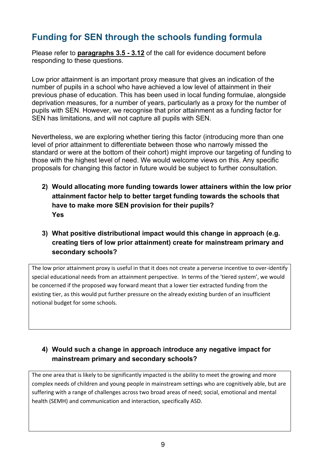# <span id="page-8-0"></span>**Funding for SEN through the schools funding formula**

Please refer to **paragraphs 3.5 - 3.12** of the call for evidence document before responding to these questions.

Low prior attainment is an important proxy measure that gives an indication of the number of pupils in a school who have achieved a low level of attainment in their previous phase of education. This has been used in local funding formulae, alongside deprivation measures, for a number of years, particularly as a proxy for the number of pupils with SEN. However, we recognise that prior attainment as a funding factor for SEN has limitations, and will not capture all pupils with SEN.

Nevertheless, we are exploring whether tiering this factor (introducing more than one level of prior attainment to differentiate between those who narrowly missed the standard or were at the bottom of their cohort) might improve our targeting of funding to those with the highest level of need. We would welcome views on this. Any specific proposals for changing this factor in future would be subject to further consultation.

- **2) Would allocating more funding towards lower attainers within the low prior attainment factor help to better target funding towards the schools that have to make more SEN provision for their pupils? Yes**
- **3) What positive distributional impact would this change in approach (e.g. creating tiers of low prior attainment) create for mainstream primary and secondary schools?**

The low prior attainment proxy is useful in that it does not create a perverse incentive to over-identify special educational needs from an attainment perspective. In terms of the 'tiered system', we would be concerned if the proposed way forward meant that a lower tier extracted funding from the existing tier, as this would put further pressure on the already existing burden of an insufficient notional budget for some schools.

## **4) Would such a change in approach introduce any negative impact for mainstream primary and secondary schools?**

The one area that is likely to be significantly impacted is the ability to meet the growing and more complex needs of children and young people in mainstream settings who are cognitively able, but are suffering with a range of challenges across two broad areas of need; social, emotional and mental health (SEMH) and communication and interaction, specifically ASD.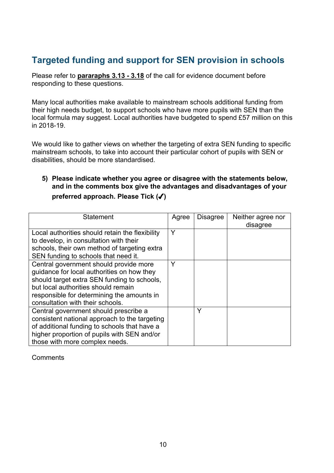## <span id="page-9-0"></span>**Targeted funding and support for SEN provision in schools**

Please refer to **pararaphs 3.13 - 3.18** of the call for evidence document before responding to these questions.

Many local authorities make available to mainstream schools additional funding from their high needs budget, to support schools who have more pupils with SEN than the local formula may suggest. Local authorities have budgeted to spend £57 million on this in 2018-19.

We would like to gather views on whether the targeting of extra SEN funding to specific mainstream schools, to take into account their particular cohort of pupils with SEN or disabilities, should be more standardised.

#### **5) Please indicate whether you agree or disagree with the statements below, and in the comments box give the advantages and disadvantages of your preferred approach. Please Tick (✔)**

| Statement                                                                                                                                                                                                                                                    | Agree | <b>Disagree</b> | Neither agree nor<br>disagree |
|--------------------------------------------------------------------------------------------------------------------------------------------------------------------------------------------------------------------------------------------------------------|-------|-----------------|-------------------------------|
| Local authorities should retain the flexibility<br>to develop, in consultation with their<br>schools, their own method of targeting extra<br>SEN funding to schools that need it.                                                                            | Y     |                 |                               |
| Central government should provide more<br>guidance for local authorities on how they<br>should target extra SEN funding to schools,<br>but local authorities should remain<br>responsible for determining the amounts in<br>consultation with their schools. | Υ     |                 |                               |
| Central government should prescribe a<br>consistent national approach to the targeting<br>of additional funding to schools that have a<br>higher proportion of pupils with SEN and/or<br>those with more complex needs.                                      |       | Y               |                               |

**Comments**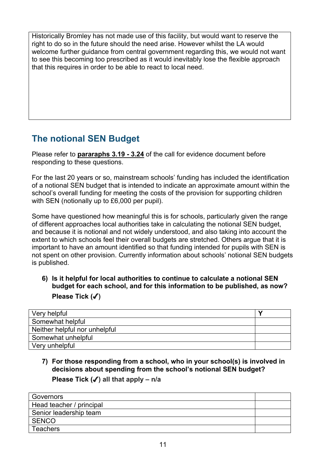Historically Bromley has not made use of this facility, but would want to reserve the right to do so in the future should the need arise. However whilst the LA would welcome further guidance from central government regarding this, we would not want to see this becoming too prescribed as it would inevitably lose the flexible approach that this requires in order to be able to react to local need.

# <span id="page-10-0"></span>**The notional SEN Budget**

Please refer to **pararaphs 3.19 - 3.24** of the call for evidence document before responding to these questions.

For the last 20 years or so, mainstream schools' funding has included the identification of a notional SEN budget that is intended to indicate an approximate amount within the school's overall funding for meeting the costs of the provision for supporting children with SEN (notionally up to £6,000 per pupil).

Some have questioned how meaningful this is for schools, particularly given the range of different approaches local authorities take in calculating the notional SEN budget, and because it is notional and not widely understood, and also taking into account the extent to which schools feel their overall budgets are stretched. Others argue that it is important to have an amount identified so that funding intended for pupils with SEN is not spent on other provision. Currently information about schools' notional SEN budgets is published.

**6) Is it helpful for local authorities to continue to calculate a notional SEN budget for each school, and for this information to be published, as now? Please Tick (✔)**

| Very helpful                  |  |
|-------------------------------|--|
| Somewhat helpful              |  |
| Neither helpful nor unhelpful |  |
| Somewhat unhelpful            |  |
| Very unhelpful                |  |

**7) For those responding from a school, who in your school(s) is involved in decisions about spending from the school's notional SEN budget?**

| Governors                |  |
|--------------------------|--|
| Head teacher / principal |  |
| Senior leadership team   |  |
| <b>SENCO</b>             |  |
| <b>Teachers</b>          |  |
|                          |  |

**Please Tick (✔) all that apply – n/a**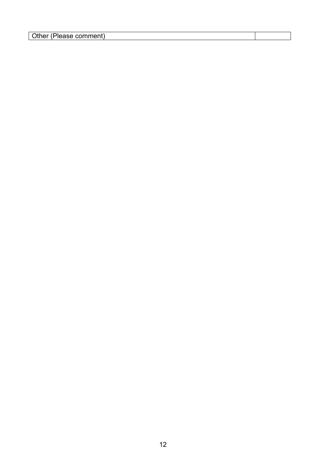Other (Please comment)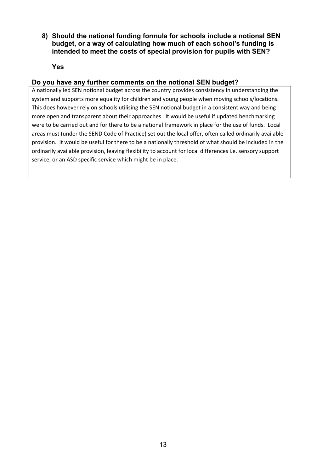**8) Should the national funding formula for schools include a notional SEN budget, or a way of calculating how much of each school's funding is intended to meet the costs of special provision for pupils with SEN?**

**Yes**

#### **Do you have any further comments on the notional SEN budget?**

A nationally led SEN notional budget across the country provides consistency in understanding the system and supports more equality for children and young people when moving schools/locations. This does however rely on schools utilising the SEN notional budget in a consistent way and being more open and transparent about their approaches. It would be useful if updated benchmarking were to be carried out and for there to be a national framework in place for the use of funds. Local areas must (under the SEND Code of Practice) set out the local offer, often called ordinarily available provision. It would be useful for there to be a nationally threshold of what should be included in the ordinarily available provision, leaving flexibility to account for local differences i.e. sensory support service, or an ASD specific service which might be in place.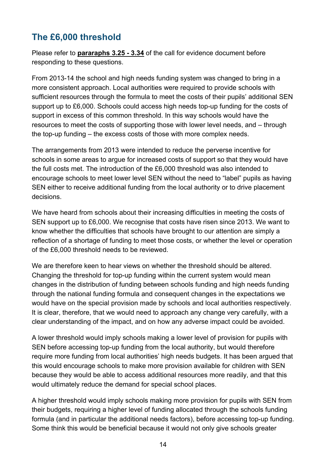## <span id="page-13-0"></span>**The £6,000 threshold**

Please refer to **pararaphs 3.25 - 3.34** of the call for evidence document before responding to these questions.

From 2013-14 the school and high needs funding system was changed to bring in a more consistent approach. Local authorities were required to provide schools with sufficient resources through the formula to meet the costs of their pupils' additional SEN support up to £6,000. Schools could access high needs top-up funding for the costs of support in excess of this common threshold. In this way schools would have the resources to meet the costs of supporting those with lower level needs, and – through the top-up funding – the excess costs of those with more complex needs.

The arrangements from 2013 were intended to reduce the perverse incentive for schools in some areas to argue for increased costs of support so that they would have the full costs met. The introduction of the £6,000 threshold was also intended to encourage schools to meet lower level SEN without the need to "label" pupils as having SEN either to receive additional funding from the local authority or to drive placement decisions.

We have heard from schools about their increasing difficulties in meeting the costs of SEN support up to £6,000. We recognise that costs have risen since 2013. We want to know whether the difficulties that schools have brought to our attention are simply a reflection of a shortage of funding to meet those costs, or whether the level or operation of the £6,000 threshold needs to be reviewed.

We are therefore keen to hear views on whether the threshold should be altered. Changing the threshold for top-up funding within the current system would mean changes in the distribution of funding between schools funding and high needs funding through the national funding formula and consequent changes in the expectations we would have on the special provision made by schools and local authorities respectively. It is clear, therefore, that we would need to approach any change very carefully, with a clear understanding of the impact, and on how any adverse impact could be avoided.

A lower threshold would imply schools making a lower level of provision for pupils with SEN before accessing top-up funding from the local authority, but would therefore require more funding from local authorities' high needs budgets. It has been argued that this would encourage schools to make more provision available for children with SEN because they would be able to access additional resources more readily, and that this would ultimately reduce the demand for special school places.

A higher threshold would imply schools making more provision for pupils with SEN from their budgets, requiring a higher level of funding allocated through the schools funding formula (and in particular the additional needs factors), before accessing top-up funding. Some think this would be beneficial because it would not only give schools greater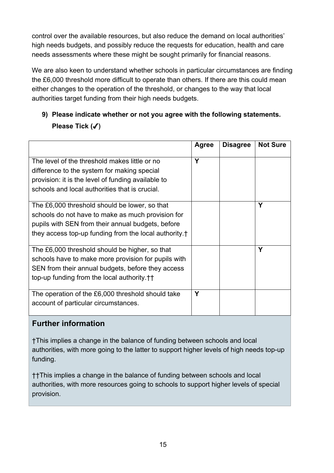control over the available resources, but also reduce the demand on local authorities' high needs budgets, and possibly reduce the requests for education, health and care needs assessments where these might be sought primarily for financial reasons.

We are also keen to understand whether schools in particular circumstances are finding the £6,000 threshold more difficult to operate than others. If there are this could mean either changes to the operation of the threshold, or changes to the way that local authorities target funding from their high needs budgets.

## **9) Please indicate whether or not you agree with the following statements. Please Tick (✔)**

|                                                      | <b>Agree</b> | <b>Disagree</b> | <b>Not Sure</b> |
|------------------------------------------------------|--------------|-----------------|-----------------|
| The level of the threshold makes little or no        | Y            |                 |                 |
| difference to the system for making special          |              |                 |                 |
| provision: it is the level of funding available to   |              |                 |                 |
| schools and local authorities that is crucial.       |              |                 |                 |
| The £6,000 threshold should be lower, so that        |              |                 | Υ               |
| schools do not have to make as much provision for    |              |                 |                 |
| pupils with SEN from their annual budgets, before    |              |                 |                 |
| they access top-up funding from the local authority. |              |                 |                 |
| The £6,000 threshold should be higher, so that       |              |                 | Υ               |
| schools have to make more provision for pupils with  |              |                 |                 |
| SEN from their annual budgets, before they access    |              |                 |                 |
| top-up funding from the local authority.             |              |                 |                 |
| The operation of the £6,000 threshold should take    | Y            |                 |                 |
| account of particular circumstances.                 |              |                 |                 |

## **Further information**

†This implies a change in the balance of funding between schools and local authorities, with more going to the latter to support higher levels of high needs top-up funding.

††This implies a change in the balance of funding between schools and local authorities, with more resources going to schools to support higher levels of special provision.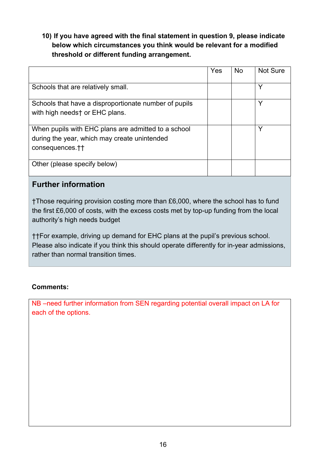**10) If you have agreed with the final statement in question 9, please indicate below which circumstances you think would be relevant for a modified threshold or different funding arrangement.**

|                                                       | Yes | <b>No</b> | Not Sure |
|-------------------------------------------------------|-----|-----------|----------|
| Schools that are relatively small.                    |     |           | ٧        |
| Schools that have a disproportionate number of pupils |     |           | Υ        |
| with high needst or EHC plans.                        |     |           |          |
| When pupils with EHC plans are admitted to a school   |     |           | V        |
| during the year, which may create unintended          |     |           |          |
| consequences. <sup>++</sup>                           |     |           |          |
| Other (please specify below)                          |     |           |          |

## **Further information**

†Those requiring provision costing more than £6,000, where the school has to fund the first £6,000 of costs, with the excess costs met by top-up funding from the local authority's high needs budget

††For example, driving up demand for EHC plans at the pupil's previous school. Please also indicate if you think this should operate differently for in-year admissions, rather than normal transition times.

#### **Comments:**

NB –need further information from SEN regarding potential overall impact on LA for each of the options.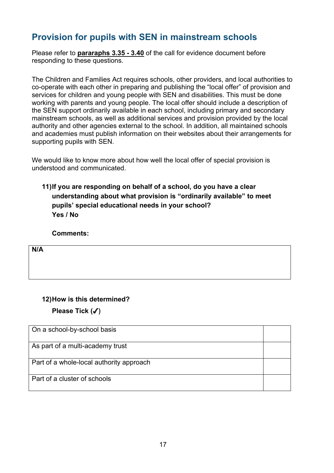## <span id="page-16-0"></span>**Provision for pupils with SEN in mainstream schools**

Please refer to **pararaphs 3.35 - 3.40** of the call for evidence document before responding to these questions.

The Children and Families Act requires schools, other providers, and local authorities to co-operate with each other in preparing and publishing the "local offer" of provision and services for children and young people with SEN and disabilities. This must be done working with parents and young people. The local offer should include a description of the SEN support ordinarily available in each school, including primary and secondary mainstream schools, as well as additional services and provision provided by the local authority and other agencies external to the school. In addition, all maintained schools and academies must publish information on their websites about their arrangements for supporting pupils with SEN.

We would like to know more about how well the local offer of special provision is understood and communicated.

#### **11)If you are responding on behalf of a school, do you have a clear understanding about what provision is "ordinarily available" to meet pupils' special educational needs in your school? Yes / No**

**Comments:**

**N/A**

#### **12)How is this determined?**

**Please Tick (✔)**

| On a school-by-school basis              |  |
|------------------------------------------|--|
| As part of a multi-academy trust         |  |
| Part of a whole-local authority approach |  |
| Part of a cluster of schools             |  |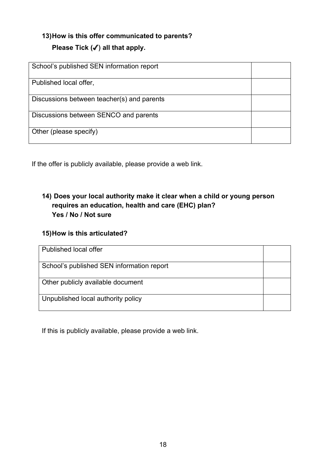## **13)How is this offer communicated to parents? Please Tick (✔) all that apply.**

| School's published SEN information report  |  |
|--------------------------------------------|--|
| Published local offer,                     |  |
| Discussions between teacher(s) and parents |  |
| Discussions between SENCO and parents      |  |
| Other (please specify)                     |  |

If the offer is publicly available, please provide a web link.

## **14) Does your local authority make it clear when a child or young person requires an education, health and care (EHC) plan? Yes / No / Not sure**

#### **15)How is this articulated?**

| Published local offer                     |  |
|-------------------------------------------|--|
| School's published SEN information report |  |
| Other publicly available document         |  |
| Unpublished local authority policy        |  |

If this is publicly available, please provide a web link.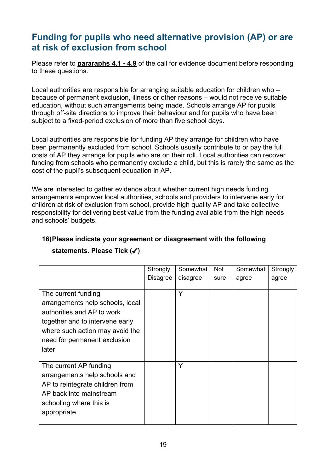## <span id="page-18-0"></span>**Funding for pupils who need alternative provision (AP) or are at risk of exclusion from school**

Please refer to **pararaphs 4.1 - 4.9** of the call for evidence document before responding to these questions.

Local authorities are responsible for arranging suitable education for children who – because of permanent exclusion, illness or other reasons – would not receive suitable education, without such arrangements being made. Schools arrange AP for pupils through off-site directions to improve their behaviour and for pupils who have been subject to a fixed-period exclusion of more than five school days.

Local authorities are responsible for funding AP they arrange for children who have been permanently excluded from school. Schools usually contribute to or pay the full costs of AP they arrange for pupils who are on their roll. Local authorities can recover funding from schools who permanently exclude a child, but this is rarely the same as the cost of the pupil's subsequent education in AP.

We are interested to gather evidence about whether current high needs funding arrangements empower local authorities, schools and providers to intervene early for children at risk of exclusion from school, provide high quality AP and take collective responsibility for delivering best value from the funding available from the high needs and schools' budgets.

## **16)Please indicate your agreement or disagreement with the following statements. Please Tick (✔)**

|                                                                                                                                                                                                      | Strongly        | Somewhat | <b>Not</b> | Somewhat | Strongly |
|------------------------------------------------------------------------------------------------------------------------------------------------------------------------------------------------------|-----------------|----------|------------|----------|----------|
|                                                                                                                                                                                                      | <b>Disagree</b> | disagree | sure       | agree    | agree    |
| The current funding<br>arrangements help schools, local<br>authorities and AP to work<br>together and to intervene early<br>where such action may avoid the<br>need for permanent exclusion<br>later |                 | Y        |            |          |          |
| The current AP funding<br>arrangements help schools and<br>AP to reintegrate children from<br>AP back into mainstream<br>schooling where this is<br>appropriate                                      |                 | Y        |            |          |          |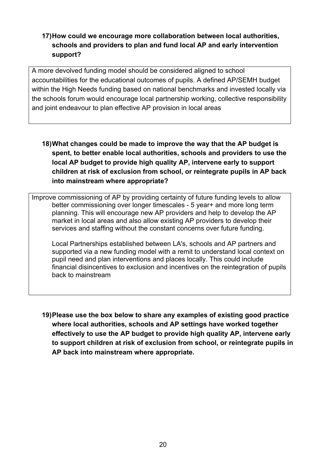#### **17)How could we encourage more collaboration between local authorities, schools and providers to plan and fund local AP and early intervention support?**

A more devolved funding model should be considered aligned to school accountabilities for the educational outcomes of pupils. A defined AP/SEMH budget within the High Needs funding based on national benchmarks and invested locally via the schools forum would encourage local partnership working, collective responsibility and joint endeavour to plan effective AP provision in local areas

**18)What changes could be made to improve the way that the AP budget is spent, to better enable local authorities, schools and providers to use the local AP budget to provide high quality AP, intervene early to support children at risk of exclusion from school, or reintegrate pupils in AP back into mainstream where appropriate?**

Improve commissioning of AP by providing certainty of future funding levels to allow better commissioning over longer timescales - 5 year+ and more long term planning. This will encourage new AP providers and help to develop the AP market in local areas and also allow existing AP providers to develop their services and staffing without the constant concerns over future funding.

Local Partnerships established between LA's, schools and AP partners and supported via a new funding model with a remit to understand local context on pupil need and plan interventions and places locally. This could include financial disincentives to exclusion and incentives on the reintegration of pupils back to mainstream

**19)Please use the box below to share any examples of existing good practice where local authorities, schools and AP settings have worked together effectively to use the AP budget to provide high quality AP, intervene early to support children at risk of exclusion from school, or reintegrate pupils in AP back into mainstream where appropriate.**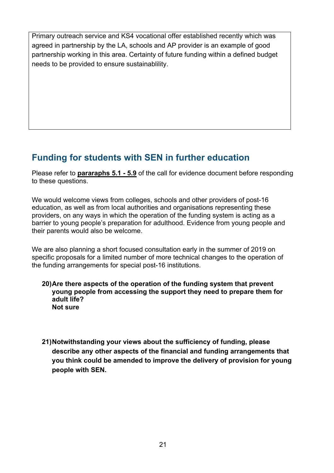Primary outreach service and KS4 vocational offer established recently which was agreed in partnership by the LA, schools and AP provider is an example of good partnership working in this area. Certainty of future funding within a defined budget needs to be provided to ensure sustainablility.

## <span id="page-20-0"></span>**Funding for students with SEN in further education**

Please refer to **pararaphs 5.1 - 5.9** of the call for evidence document before responding to these questions.

We would welcome views from colleges, schools and other providers of post-16 education, as well as from local authorities and organisations representing these providers, on any ways in which the operation of the funding system is acting as a barrier to young people's preparation for adulthood. Evidence from young people and their parents would also be welcome.

We are also planning a short focused consultation early in the summer of 2019 on specific proposals for a limited number of more technical changes to the operation of the funding arrangements for special post-16 institutions.

- **20)Are there aspects of the operation of the funding system that prevent young people from accessing the support they need to prepare them for adult life? Not sure**
- **21)Notwithstanding your views about the sufficiency of funding, please describe any other aspects of the financial and funding arrangements that you think could be amended to improve the delivery of provision for young people with SEN.**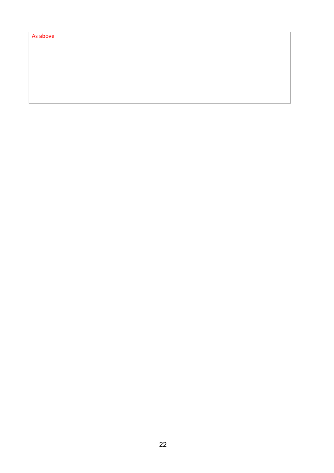#### As above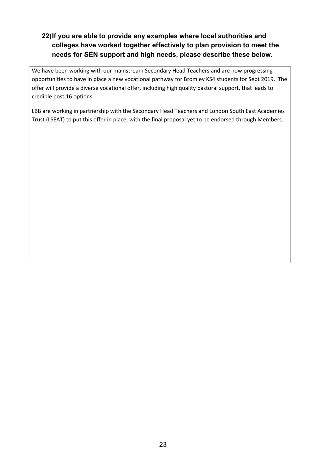#### **22)If you are able to provide any examples where local authorities and colleges have worked together effectively to plan provision to meet the needs for SEN support and high needs, please describe these below.**

We have been working with our mainstream Secondary Head Teachers and are now progressing opportunities to have in place a new vocational pathway for Bromley KS4 students for Sept 2019. The offer will provide a diverse vocational offer, including high quality pastoral support, that leads to credible post 16 options.

LBB are working in partnership with the Secondary Head Teachers and London South East Academies Trust (LSEAT) to put this offer in place, with the final proposal yet to be endorsed through Members.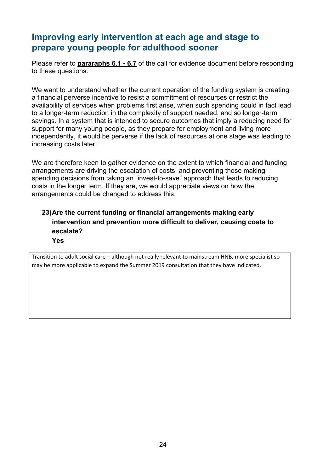## <span id="page-23-0"></span>**Improving early intervention at each age and stage to prepare young people for adulthood sooner**

Please refer to **pararaphs 6.1 - 6.7** of the call for evidence document before responding to these questions.

We want to understand whether the current operation of the funding system is creating a financial perverse incentive to resist a commitment of resources or restrict the availability of services when problems first arise, when such spending could in fact lead to a longer-term reduction in the complexity of support needed, and so longer-term savings. In a system that is intended to secure outcomes that imply a reducing need for support for many young people, as they prepare for employment and living more independently, it would be perverse if the lack of resources at one stage was leading to increasing costs later.

We are therefore keen to gather evidence on the extent to which financial and funding arrangements are driving the escalation of costs, and preventing those making spending decisions from taking an "invest-to-save" approach that leads to reducing costs in the longer term. If they are, we would appreciate views on how the arrangements could be changed to address this.

#### **23)Are the current funding or financial arrangements making early intervention and prevention more difficult to deliver, causing costs to escalate? Yes**

Transition to adult social care – although not really relevant to mainstream HNB, more specialist so may be more applicable to expand the Summer 2019 consultation that they have indicated.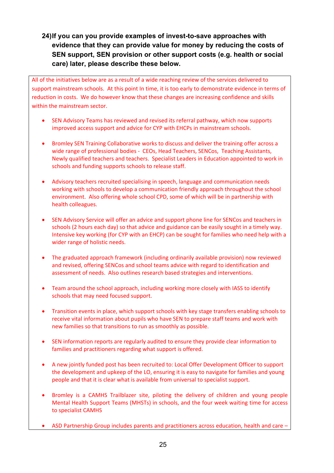**24)If you can you provide examples of invest-to-save approaches with evidence that they can provide value for money by reducing the costs of SEN support, SEN provision or other support costs (e.g. health or social care) later, please describe these below.**

All of the initiatives below are as a result of a wide reaching review of the services delivered to support mainstream schools. At this point In time, it is too early to demonstrate evidence in terms of reduction in costs. We do however know that these changes are increasing confidence and skills within the mainstream sector.

- SEN Advisory Teams has reviewed and revised its referral pathway, which now supports improved access support and advice for CYP with EHCPs in mainstream schools.
- Bromley SEN Training Collaborative works to discuss and deliver the training offer across a wide range of professional bodies - CEOs, Head Teachers, SENCos, Teaching Assistants, Newly qualified teachers and teachers. Specialist Leaders in Education appointed to work in schools and funding supports schools to release staff.
- Advisory teachers recruited specialising in speech, language and communication needs working with schools to develop a communication friendly approach throughout the school environment. Also offering whole school CPD, some of which will be in partnership with health colleagues.
- SEN Advisory Service will offer an advice and support phone line for SENCos and teachers in schools (2 hours each day) so that advice and guidance can be easily sought in a timely way. Intensive key working (for CYP with an EHCP) can be sought for families who need help with a wider range of holistic needs.
- The graduated approach framework (including ordinarily available provision) now reviewed and revised, offering SENCos and school teams advice with regard to identification and assessment of needs. Also outlines research based strategies and interventions.
- Team around the school approach, including working more closely with IASS to identify schools that may need focused support.
- Transition events in place, which support schools with key stage transfers enabling schools to receive vital information about pupils who have SEN to prepare staff teams and work with new families so that transitions to run as smoothly as possible.
- SEN information reports are regularly audited to ensure they provide clear information to families and practitioners regarding what support is offered.
- A new jointly funded post has been recruited to: Local Offer Development Officer to support the development and upkeep of the LO, ensuring it is easy to navigate for families and young people and that it is clear what is available from universal to specialist support.
- Bromley is a CAMHS Trailblazer site, piloting the delivery of children and young people Mental Health Support Teams (MHSTs) in schools, and the four week waiting time for access to specialist CAMHS
- ASD Partnership Group includes parents and practitioners across education, health and care –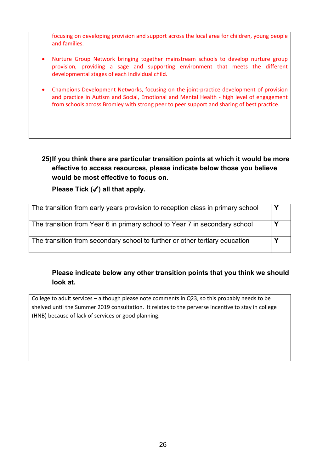focusing on developing provision and support across the local area for children, young people and families.

- Nurture Group Network bringing together mainstream schools to develop nurture group provision, providing a sage and supporting environment that meets the different developmental stages of each individual child.
- Champions Development Networks, focusing on the joint-practice development of provision and practice in Autism and Social, Emotional and Mental Health - high level of engagement from schools across Bromley with strong peer to peer support and sharing of best practice.

**25)If you think there are particular transition points at which it would be more effective to access resources, please indicate below those you believe would be most effective to focus on.**

**Please Tick (✔) all that apply.**

| The transition from early years provision to reception class in primary school | <b>Y</b> |
|--------------------------------------------------------------------------------|----------|
| The transition from Year 6 in primary school to Year 7 in secondary school     |          |
| The transition from secondary school to further or other tertiary education    | ⅴ        |

#### **Please indicate below any other transition points that you think we should look at.**

College to adult services – although please note comments in Q23, so this probably needs to be shelved until the Summer 2019 consultation. It relates to the perverse incentive to stay in college (HNB) because of lack of services or good planning.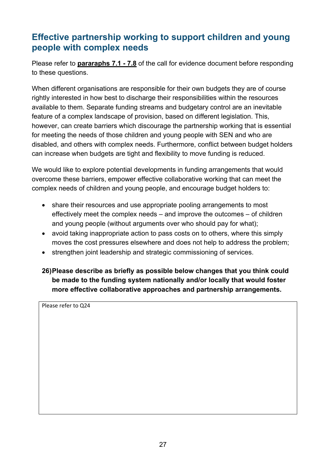## <span id="page-26-0"></span>**Effective partnership working to support children and young people with complex needs**

Please refer to **pararaphs 7.1 - 7.8** of the call for evidence document before responding to these questions.

When different organisations are responsible for their own budgets they are of course rightly interested in how best to discharge their responsibilities within the resources available to them. Separate funding streams and budgetary control are an inevitable feature of a complex landscape of provision, based on different legislation. This, however, can create barriers which discourage the partnership working that is essential for meeting the needs of those children and young people with SEN and who are disabled, and others with complex needs. Furthermore, conflict between budget holders can increase when budgets are tight and flexibility to move funding is reduced.

We would like to explore potential developments in funding arrangements that would overcome these barriers, empower effective collaborative working that can meet the complex needs of children and young people, and encourage budget holders to:

- share their resources and use appropriate pooling arrangements to most effectively meet the complex needs – and improve the outcomes – of children and young people (without arguments over who should pay for what);
- avoid taking inappropriate action to pass costs on to others, where this simply moves the cost pressures elsewhere and does not help to address the problem;
- strengthen joint leadership and strategic commissioning of services.

#### **26)Please describe as briefly as possible below changes that you think could be made to the funding system nationally and/or locally that would foster more effective collaborative approaches and partnership arrangements.**

Please refer to Q24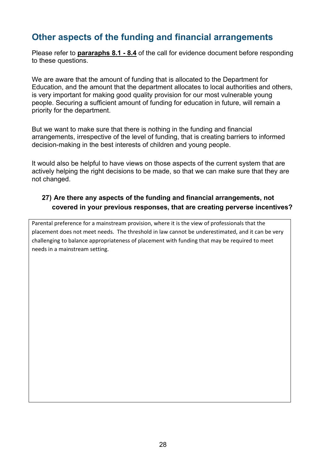## <span id="page-27-0"></span>**Other aspects of the funding and financial arrangements**

Please refer to **pararaphs 8.1 - 8.4** of the call for evidence document before responding to these questions.

We are aware that the amount of funding that is allocated to the Department for Education, and the amount that the department allocates to local authorities and others, is very important for making good quality provision for our most vulnerable young people. Securing a sufficient amount of funding for education in future, will remain a priority for the department.

But we want to make sure that there is nothing in the funding and financial arrangements, irrespective of the level of funding, that is creating barriers to informed decision-making in the best interests of children and young people.

It would also be helpful to have views on those aspects of the current system that are actively helping the right decisions to be made, so that we can make sure that they are not changed.

#### **27) Are there any aspects of the funding and financial arrangements, not covered in your previous responses, that are creating perverse incentives?**

Parental preference for a mainstream provision, where it is the view of professionals that the placement does not meet needs. The threshold in law cannot be underestimated, and it can be very challenging to balance appropriateness of placement with funding that may be required to meet needs in a mainstream setting.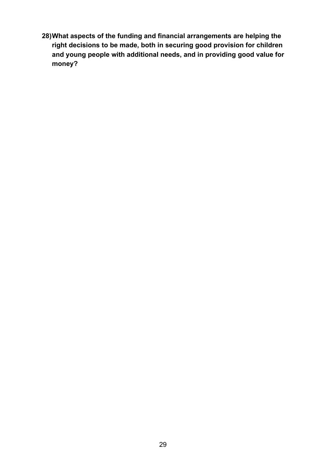**28)What aspects of the funding and financial arrangements are helping the right decisions to be made, both in securing good provision for children and young people with additional needs, and in providing good value for money?**